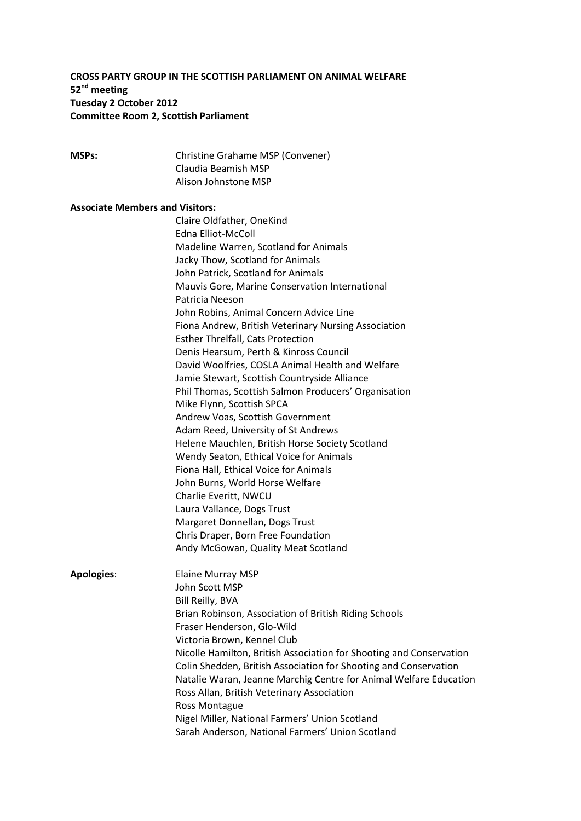## **CROSS PARTY GROUP IN THE SCOTTISH PARLIAMENT ON ANIMAL WELFARE 52nd meeting Tuesday 2 October 2012 Committee Room 2, Scottish Parliament**

**MSPs:** Christine Grahame MSP (Convener) Claudia Beamish MSP Alison Johnstone MSP

### **Associate Members and Visitors:**

|                   | Claire Oldfather, OneKind                                                                                                               |
|-------------------|-----------------------------------------------------------------------------------------------------------------------------------------|
|                   | <b>Edna Elliot-McColl</b>                                                                                                               |
|                   | Madeline Warren, Scotland for Animals                                                                                                   |
|                   | Jacky Thow, Scotland for Animals                                                                                                        |
|                   | John Patrick, Scotland for Animals                                                                                                      |
|                   | Mauvis Gore, Marine Conservation International                                                                                          |
|                   | Patricia Neeson                                                                                                                         |
|                   | John Robins, Animal Concern Advice Line                                                                                                 |
|                   | Fiona Andrew, British Veterinary Nursing Association                                                                                    |
|                   | <b>Esther Threlfall, Cats Protection</b>                                                                                                |
|                   | Denis Hearsum, Perth & Kinross Council                                                                                                  |
|                   | David Woolfries, COSLA Animal Health and Welfare                                                                                        |
|                   | Jamie Stewart, Scottish Countryside Alliance                                                                                            |
|                   | Phil Thomas, Scottish Salmon Producers' Organisation                                                                                    |
|                   | Mike Flynn, Scottish SPCA                                                                                                               |
|                   | Andrew Voas, Scottish Government                                                                                                        |
|                   | Adam Reed, University of St Andrews                                                                                                     |
|                   | Helene Mauchlen, British Horse Society Scotland                                                                                         |
|                   | Wendy Seaton, Ethical Voice for Animals                                                                                                 |
|                   | Fiona Hall, Ethical Voice for Animals                                                                                                   |
|                   | John Burns, World Horse Welfare                                                                                                         |
|                   | Charlie Everitt, NWCU                                                                                                                   |
|                   | Laura Vallance, Dogs Trust                                                                                                              |
|                   | Margaret Donnellan, Dogs Trust                                                                                                          |
|                   | Chris Draper, Born Free Foundation                                                                                                      |
|                   | Andy McGowan, Quality Meat Scotland                                                                                                     |
|                   |                                                                                                                                         |
| <b>Apologies:</b> | <b>Elaine Murray MSP</b>                                                                                                                |
|                   | John Scott MSP                                                                                                                          |
|                   | Bill Reilly, BVA                                                                                                                        |
|                   | Brian Robinson, Association of British Riding Schools<br>Fraser Henderson, Glo-Wild                                                     |
|                   |                                                                                                                                         |
|                   | Victoria Brown, Kennel Club                                                                                                             |
|                   | Nicolle Hamilton, British Association for Shooting and Conservation<br>Colin Shedden, British Association for Shooting and Conservation |
|                   | Natalie Waran, Jeanne Marchig Centre for Animal Welfare Education                                                                       |
|                   | Ross Allan, British Veterinary Association                                                                                              |
|                   | <b>Ross Montague</b>                                                                                                                    |
|                   | Nigel Miller, National Farmers' Union Scotland                                                                                          |
|                   | Sarah Anderson, National Farmers' Union Scotland                                                                                        |
|                   |                                                                                                                                         |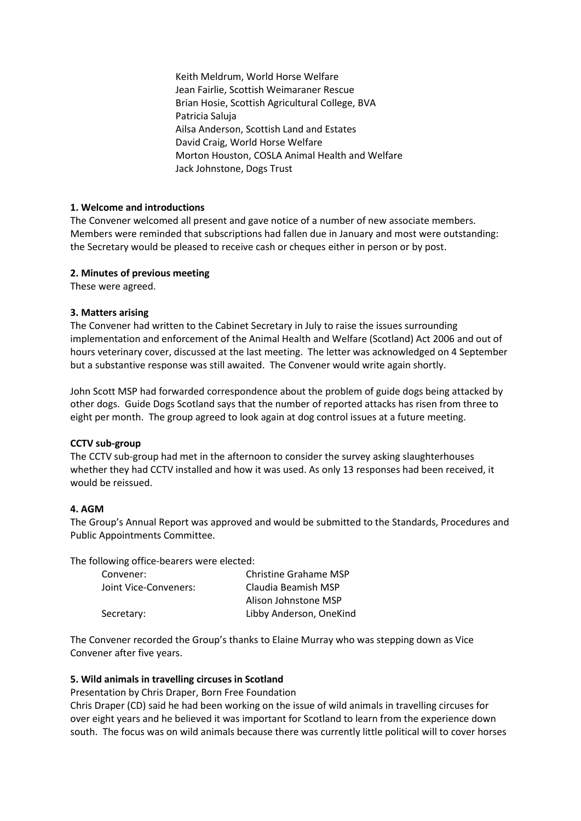Keith Meldrum, World Horse Welfare Jean Fairlie, Scottish Weimaraner Rescue Brian Hosie, Scottish Agricultural College, BVA Patricia Saluja Ailsa Anderson, Scottish Land and Estates David Craig, World Horse Welfare Morton Houston, COSLA Animal Health and Welfare Jack Johnstone, Dogs Trust

## **1. Welcome and introductions**

The Convener welcomed all present and gave notice of a number of new associate members. Members were reminded that subscriptions had fallen due in January and most were outstanding: the Secretary would be pleased to receive cash or cheques either in person or by post.

### **2. Minutes of previous meeting**

These were agreed.

### **3. Matters arising**

The Convener had written to the Cabinet Secretary in July to raise the issues surrounding implementation and enforcement of the Animal Health and Welfare (Scotland) Act 2006 and out of hours veterinary cover, discussed at the last meeting. The letter was acknowledged on 4 September but a substantive response was still awaited. The Convener would write again shortly.

John Scott MSP had forwarded correspondence about the problem of guide dogs being attacked by other dogs. Guide Dogs Scotland says that the number of reported attacks has risen from three to eight per month. The group agreed to look again at dog control issues at a future meeting.

### **CCTV sub-group**

The CCTV sub-group had met in the afternoon to consider the survey asking slaughterhouses whether they had CCTV installed and how it was used. As only 13 responses had been received, it would be reissued.

### **4. AGM**

The Group's Annual Report was approved and would be submitted to the Standards, Procedures and Public Appointments Committee.

The following office-bearers were elected:

| Convener:             | Christine Grahame MSP   |
|-----------------------|-------------------------|
| Joint Vice-Conveners: | Claudia Beamish MSP     |
|                       | Alison Johnstone MSP    |
| Secretary:            | Libby Anderson, OneKind |

The Convener recorded the Group's thanks to Elaine Murray who was stepping down as Vice Convener after five years.

### **5. Wild animals in travelling circuses in Scotland**

Presentation by Chris Draper, Born Free Foundation

Chris Draper (CD) said he had been working on the issue of wild animals in travelling circuses for over eight years and he believed it was important for Scotland to learn from the experience down south. The focus was on wild animals because there was currently little political will to cover horses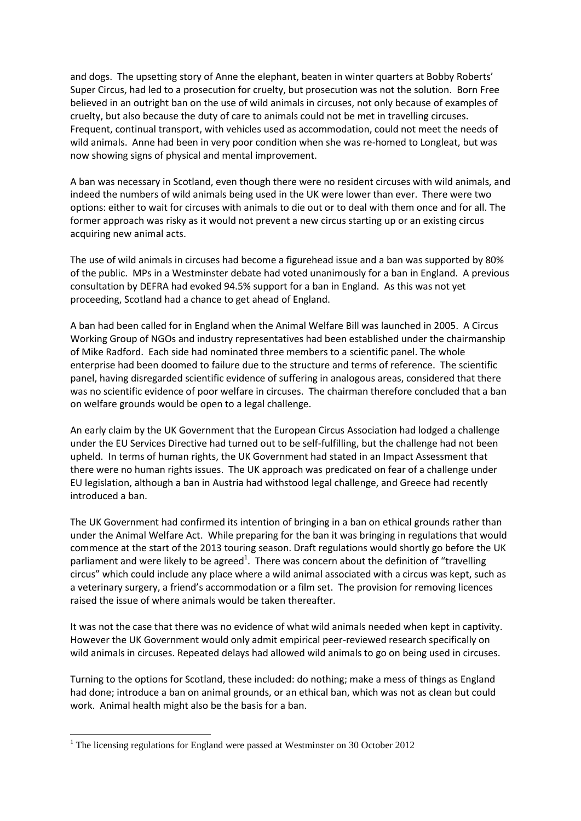and dogs. The upsetting story of Anne the elephant, beaten in winter quarters at Bobby Roberts' Super Circus, had led to a prosecution for cruelty, but prosecution was not the solution. Born Free believed in an outright ban on the use of wild animals in circuses, not only because of examples of cruelty, but also because the duty of care to animals could not be met in travelling circuses. Frequent, continual transport, with vehicles used as accommodation, could not meet the needs of wild animals. Anne had been in very poor condition when she was re-homed to Longleat, but was now showing signs of physical and mental improvement.

A ban was necessary in Scotland, even though there were no resident circuses with wild animals, and indeed the numbers of wild animals being used in the UK were lower than ever. There were two options: either to wait for circuses with animals to die out or to deal with them once and for all. The former approach was risky as it would not prevent a new circus starting up or an existing circus acquiring new animal acts.

The use of wild animals in circuses had become a figurehead issue and a ban was supported by 80% of the public. MPs in a Westminster debate had voted unanimously for a ban in England. A previous consultation by DEFRA had evoked 94.5% support for a ban in England. As this was not yet proceeding, Scotland had a chance to get ahead of England.

A ban had been called for in England when the Animal Welfare Bill was launched in 2005. A Circus Working Group of NGOs and industry representatives had been established under the chairmanship of Mike Radford. Each side had nominated three members to a scientific panel. The whole enterprise had been doomed to failure due to the structure and terms of reference. The scientific panel, having disregarded scientific evidence of suffering in analogous areas, considered that there was no scientific evidence of poor welfare in circuses. The chairman therefore concluded that a ban on welfare grounds would be open to a legal challenge.

An early claim by the UK Government that the European Circus Association had lodged a challenge under the EU Services Directive had turned out to be self-fulfilling, but the challenge had not been upheld. In terms of human rights, the UK Government had stated in an Impact Assessment that there were no human rights issues. The UK approach was predicated on fear of a challenge under EU legislation, although a ban in Austria had withstood legal challenge, and Greece had recently introduced a ban.

The UK Government had confirmed its intention of bringing in a ban on ethical grounds rather than under the Animal Welfare Act. While preparing for the ban it was bringing in regulations that would commence at the start of the 2013 touring season. Draft regulations would shortly go before the UK parliament and were likely to be agreed<sup>1</sup>. There was concern about the definition of "travelling circus" which could include any place where a wild animal associated with a circus was kept, such as a veterinary surgery, a friend's accommodation or a film set. The provision for removing licences raised the issue of where animals would be taken thereafter.

It was not the case that there was no evidence of what wild animals needed when kept in captivity. However the UK Government would only admit empirical peer-reviewed research specifically on wild animals in circuses. Repeated delays had allowed wild animals to go on being used in circuses.

Turning to the options for Scotland, these included: do nothing; make a mess of things as England had done; introduce a ban on animal grounds, or an ethical ban, which was not as clean but could work. Animal health might also be the basis for a ban.

**.** 

<sup>&</sup>lt;sup>1</sup> The licensing regulations for England were passed at Westminster on 30 October 2012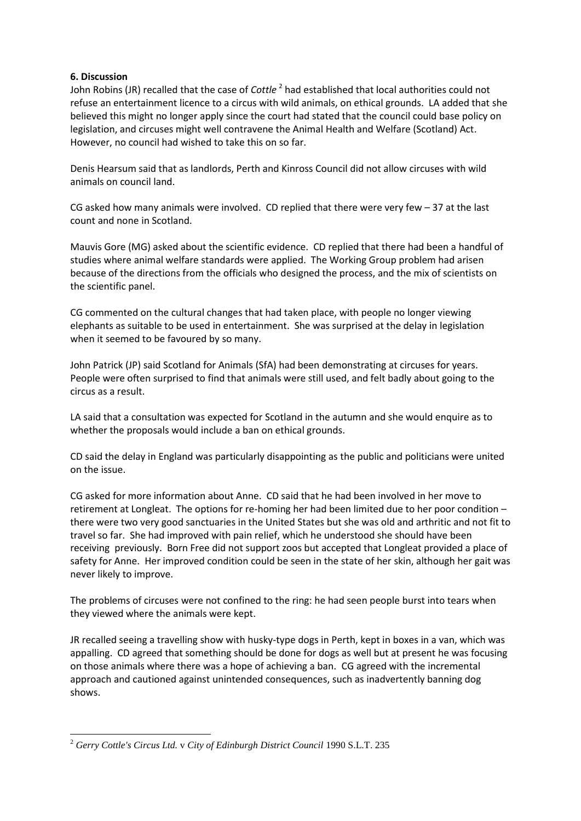### **6. Discussion**

John Robins (JR) recalled that the case of *Cottle* <sup>2</sup> had established that local authorities could not refuse an entertainment licence to a circus with wild animals, on ethical grounds. LA added that she believed this might no longer apply since the court had stated that the council could base policy on legislation, and circuses might well contravene the Animal Health and Welfare (Scotland) Act. However, no council had wished to take this on so far.

Denis Hearsum said that as landlords, Perth and Kinross Council did not allow circuses with wild animals on council land.

CG asked how many animals were involved. CD replied that there were very few  $-37$  at the last count and none in Scotland.

Mauvis Gore (MG) asked about the scientific evidence. CD replied that there had been a handful of studies where animal welfare standards were applied. The Working Group problem had arisen because of the directions from the officials who designed the process, and the mix of scientists on the scientific panel.

CG commented on the cultural changes that had taken place, with people no longer viewing elephants as suitable to be used in entertainment. She was surprised at the delay in legislation when it seemed to be favoured by so many.

John Patrick (JP) said Scotland for Animals (SfA) had been demonstrating at circuses for years. People were often surprised to find that animals were still used, and felt badly about going to the circus as a result.

LA said that a consultation was expected for Scotland in the autumn and she would enquire as to whether the proposals would include a ban on ethical grounds.

CD said the delay in England was particularly disappointing as the public and politicians were united on the issue.

CG asked for more information about Anne. CD said that he had been involved in her move to retirement at Longleat. The options for re-homing her had been limited due to her poor condition – there were two very good sanctuaries in the United States but she was old and arthritic and not fit to travel so far. She had improved with pain relief, which he understood she should have been receiving previously. Born Free did not support zoos but accepted that Longleat provided a place of safety for Anne. Her improved condition could be seen in the state of her skin, although her gait was never likely to improve.

The problems of circuses were not confined to the ring: he had seen people burst into tears when they viewed where the animals were kept.

JR recalled seeing a travelling show with husky-type dogs in Perth, kept in boxes in a van, which was appalling. CD agreed that something should be done for dogs as well but at present he was focusing on those animals where there was a hope of achieving a ban. CG agreed with the incremental approach and cautioned against unintended consequences, such as inadvertently banning dog shows.

**<sup>.</sup>** <sup>2</sup> *Gerry Cottle's Circus Ltd.* v *City of Edinburgh District Council* 1990 S.L.T. 235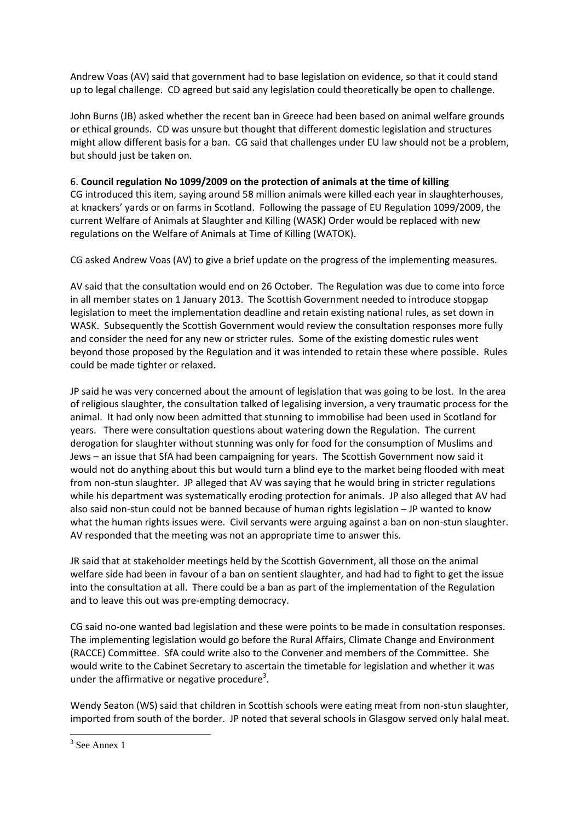Andrew Voas (AV) said that government had to base legislation on evidence, so that it could stand up to legal challenge. CD agreed but said any legislation could theoretically be open to challenge.

John Burns (JB) asked whether the recent ban in Greece had been based on animal welfare grounds or ethical grounds. CD was unsure but thought that different domestic legislation and structures might allow different basis for a ban. CG said that challenges under EU law should not be a problem, but should just be taken on.

### 6. **Council regulation No 1099/2009 on the protection of animals at the time of killing**

CG introduced this item, saying around 58 million animals were killed each year in slaughterhouses, at knackers' yards or on farms in Scotland. Following the passage of EU Regulation 1099/2009, the current Welfare of Animals at Slaughter and Killing (WASK) Order would be replaced with new regulations on the Welfare of Animals at Time of Killing (WATOK).

CG asked Andrew Voas (AV) to give a brief update on the progress of the implementing measures.

AV said that the consultation would end on 26 October. The Regulation was due to come into force in all member states on 1 January 2013. The Scottish Government needed to introduce stopgap legislation to meet the implementation deadline and retain existing national rules, as set down in WASK. Subsequently the Scottish Government would review the consultation responses more fully and consider the need for any new or stricter rules. Some of the existing domestic rules went beyond those proposed by the Regulation and it was intended to retain these where possible. Rules could be made tighter or relaxed.

JP said he was very concerned about the amount of legislation that was going to be lost. In the area of religious slaughter, the consultation talked of legalising inversion, a very traumatic process for the animal. It had only now been admitted that stunning to immobilise had been used in Scotland for years. There were consultation questions about watering down the Regulation. The current derogation for slaughter without stunning was only for food for the consumption of Muslims and Jews – an issue that SfA had been campaigning for years. The Scottish Government now said it would not do anything about this but would turn a blind eye to the market being flooded with meat from non-stun slaughter. JP alleged that AV was saying that he would bring in stricter regulations while his department was systematically eroding protection for animals. JP also alleged that AV had also said non-stun could not be banned because of human rights legislation – JP wanted to know what the human rights issues were. Civil servants were arguing against a ban on non-stun slaughter. AV responded that the meeting was not an appropriate time to answer this.

JR said that at stakeholder meetings held by the Scottish Government, all those on the animal welfare side had been in favour of a ban on sentient slaughter, and had had to fight to get the issue into the consultation at all. There could be a ban as part of the implementation of the Regulation and to leave this out was pre-empting democracy.

CG said no-one wanted bad legislation and these were points to be made in consultation responses. The implementing legislation would go before the Rural Affairs, Climate Change and Environment (RACCE) Committee. SfA could write also to the Convener and members of the Committee. She would write to the Cabinet Secretary to ascertain the timetable for legislation and whether it was under the affirmative or negative procedure<sup>3</sup>.

Wendy Seaton (WS) said that children in Scottish schools were eating meat from non-stun slaughter, imported from south of the border. JP noted that several schools in Glasgow served only halal meat.

**.** 

<sup>3</sup> See Annex 1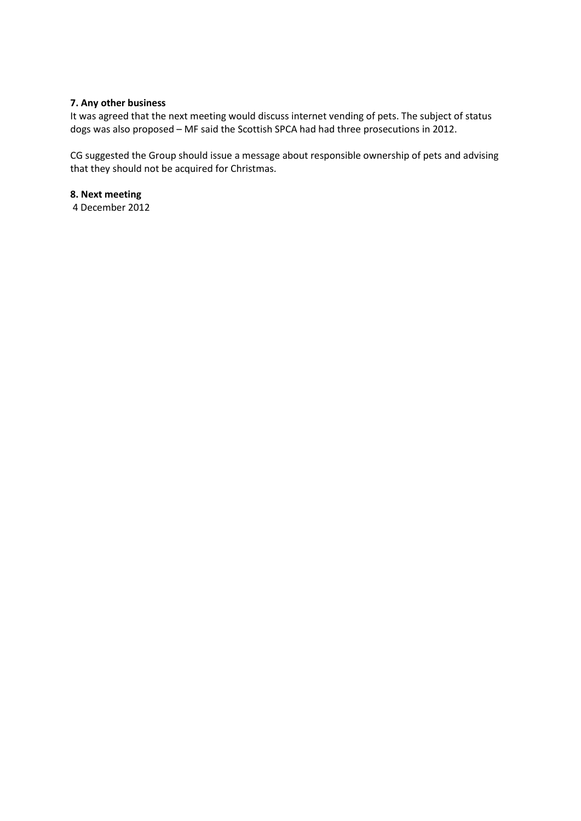## **7. Any other business**

It was agreed that the next meeting would discuss internet vending of pets. The subject of status dogs was also proposed – MF said the Scottish SPCA had had three prosecutions in 2012.

CG suggested the Group should issue a message about responsible ownership of pets and advising that they should not be acquired for Christmas.

**8. Next meeting**

4 December 2012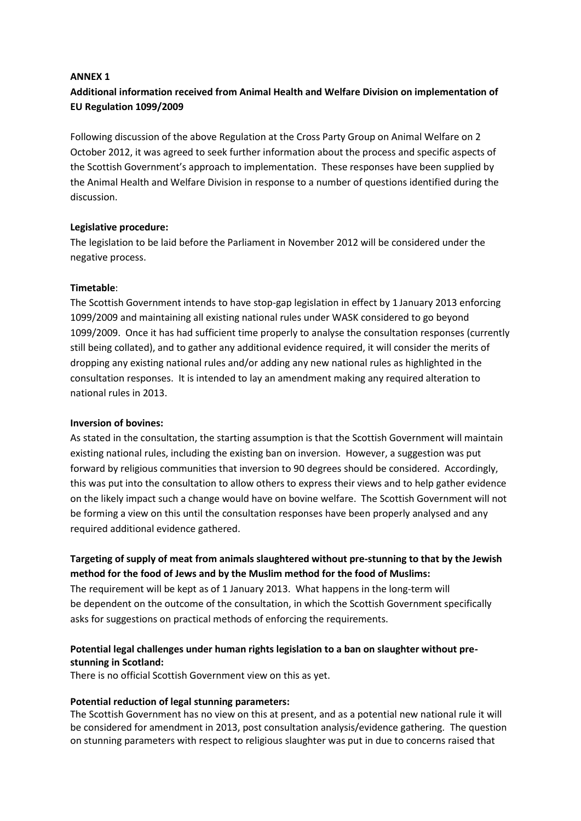#### **ANNEX 1**

# **Additional information received from Animal Health and Welfare Division on implementation of EU Regulation 1099/2009**

Following discussion of the above Regulation at the Cross Party Group on Animal Welfare on 2 October 2012, it was agreed to seek further information about the process and specific aspects of the Scottish Government's approach to implementation. These responses have been supplied by the Animal Health and Welfare Division in response to a number of questions identified during the discussion.

### **Legislative procedure:**

The legislation to be laid before the Parliament in November 2012 will be considered under the negative process.

#### **Timetable**:

The Scottish Government intends to have stop-gap legislation in effect by 1 January 2013 enforcing 1099/2009 and maintaining all existing national rules under WASK considered to go beyond 1099/2009. Once it has had sufficient time properly to analyse the consultation responses (currently still being collated), and to gather any additional evidence required, it will consider the merits of dropping any existing national rules and/or adding any new national rules as highlighted in the consultation responses. It is intended to lay an amendment making any required alteration to national rules in 2013.

#### **Inversion of bovines:**

As stated in the consultation, the starting assumption is that the Scottish Government will maintain existing national rules, including the existing ban on inversion. However, a suggestion was put forward by religious communities that inversion to 90 degrees should be considered. Accordingly, this was put into the consultation to allow others to express their views and to help gather evidence on the likely impact such a change would have on bovine welfare. The Scottish Government will not be forming a view on this until the consultation responses have been properly analysed and any required additional evidence gathered.

# **Targeting of supply of meat from animals slaughtered without pre-stunning to that by the Jewish method for the food of Jews and by the Muslim method for the food of Muslims:**

The requirement will be kept as of 1 January 2013. What happens in the long-term will be dependent on the outcome of the consultation, in which the Scottish Government specifically asks for suggestions on practical methods of enforcing the requirements.

### **Potential legal challenges under human rights legislation to a ban on slaughter without prestunning in Scotland:**

There is no official Scottish Government view on this as yet.

### **Potential reduction of legal stunning parameters:**

The Scottish Government has no view on this at present, and as a potential new national rule it will be considered for amendment in 2013, post consultation analysis/evidence gathering. The question on stunning parameters with respect to religious slaughter was put in due to concerns raised that